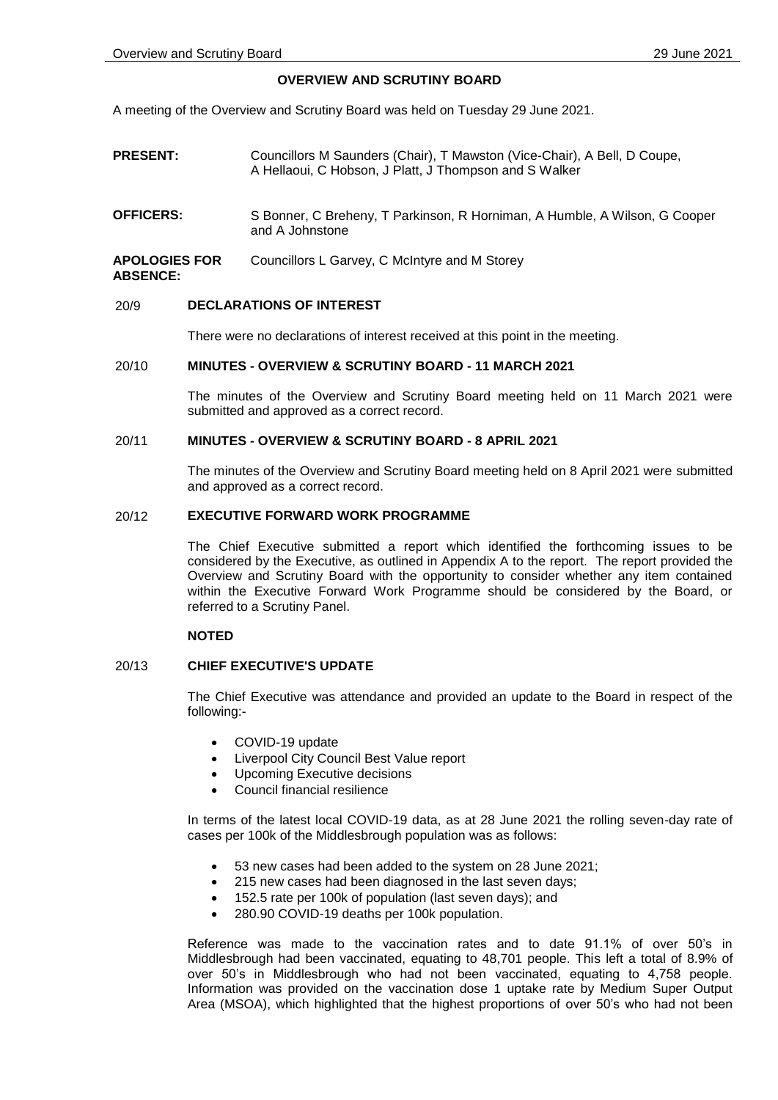#### **OVERVIEW AND SCRUTINY BOARD**

A meeting of the Overview and Scrutiny Board was held on Tuesday 29 June 2021.

- **PRESENT:** Councillors M Saunders (Chair), T Mawston (Vice-Chair), A Bell, D Coupe, A Hellaoui, C Hobson, J Platt, J Thompson and S Walker
- **OFFICERS:** S Bonner, C Breheny, T Parkinson, R Horniman, A Humble, A Wilson, G Cooper and A Johnstone

#### **APOLOGIES FOR ABSENCE:** Councillors L Garvey, C McIntyre and M Storey

#### 20/9 **DECLARATIONS OF INTEREST**

There were no declarations of interest received at this point in the meeting.

# 20/10 **MINUTES - OVERVIEW & SCRUTINY BOARD - 11 MARCH 2021**

The minutes of the Overview and Scrutiny Board meeting held on 11 March 2021 were submitted and approved as a correct record.

## 20/11 **MINUTES - OVERVIEW & SCRUTINY BOARD - 8 APRIL 2021**

The minutes of the Overview and Scrutiny Board meeting held on 8 April 2021 were submitted and approved as a correct record.

#### 20/12 **EXECUTIVE FORWARD WORK PROGRAMME**

The Chief Executive submitted a report which identified the forthcoming issues to be considered by the Executive, as outlined in Appendix A to the report. The report provided the Overview and Scrutiny Board with the opportunity to consider whether any item contained within the Executive Forward Work Programme should be considered by the Board, or referred to a Scrutiny Panel.

#### **NOTED**

# 20/13 **CHIEF EXECUTIVE'S UPDATE**

The Chief Executive was attendance and provided an update to the Board in respect of the following:-

- COVID-19 update
- Liverpool City Council Best Value report
- Upcoming Executive decisions
- Council financial resilience

In terms of the latest local COVID-19 data, as at 28 June 2021 the rolling seven-day rate of cases per 100k of the Middlesbrough population was as follows:

- 53 new cases had been added to the system on 28 June 2021;
- 215 new cases had been diagnosed in the last seven days;
- 152.5 rate per 100k of population (last seven days); and
- 280.90 COVID-19 deaths per 100k population.

Reference was made to the vaccination rates and to date 91.1% of over 50's in Middlesbrough had been vaccinated, equating to 48,701 people. This left a total of 8.9% of over 50's in Middlesbrough who had not been vaccinated, equating to 4,758 people. Information was provided on the vaccination dose 1 uptake rate by Medium Super Output Area (MSOA), which highlighted that the highest proportions of over 50's who had not been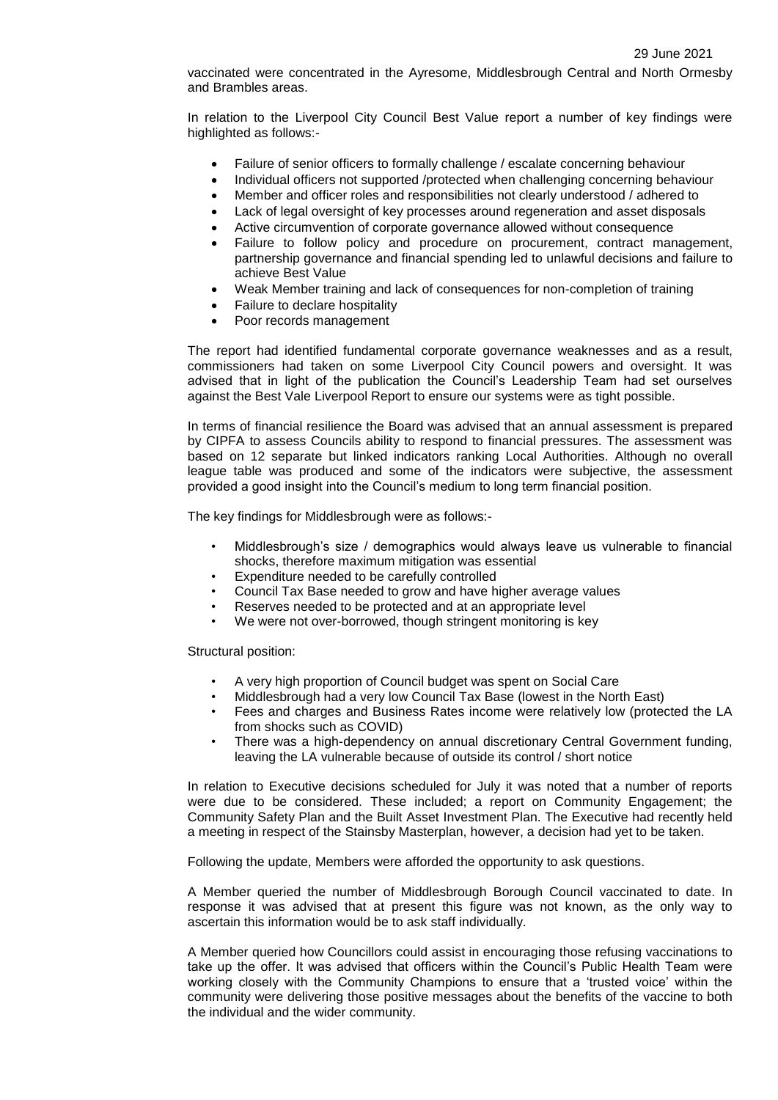vaccinated were concentrated in the Ayresome, Middlesbrough Central and North Ormesby and Brambles areas.

In relation to the Liverpool City Council Best Value report a number of key findings were highlighted as follows:-

- Failure of senior officers to formally challenge / escalate concerning behaviour
- Individual officers not supported /protected when challenging concerning behaviour
- Member and officer roles and responsibilities not clearly understood / adhered to
- Lack of legal oversight of key processes around regeneration and asset disposals
- Active circumvention of corporate governance allowed without consequence
- Failure to follow policy and procedure on procurement, contract management, partnership governance and financial spending led to unlawful decisions and failure to achieve Best Value
- Weak Member training and lack of consequences for non-completion of training
- Failure to declare hospitality
- Poor records management

The report had identified fundamental corporate governance weaknesses and as a result, commissioners had taken on some Liverpool City Council powers and oversight. It was advised that in light of the publication the Council's Leadership Team had set ourselves against the Best Vale Liverpool Report to ensure our systems were as tight possible.

In terms of financial resilience the Board was advised that an annual assessment is prepared by CIPFA to assess Councils ability to respond to financial pressures. The assessment was based on 12 separate but linked indicators ranking Local Authorities. Although no overall league table was produced and some of the indicators were subjective, the assessment provided a good insight into the Council's medium to long term financial position.

The key findings for Middlesbrough were as follows:-

- Middlesbrough's size / demographics would always leave us vulnerable to financial shocks, therefore maximum mitigation was essential
- Expenditure needed to be carefully controlled
- Council Tax Base needed to grow and have higher average values
- Reserves needed to be protected and at an appropriate level
- We were not over-borrowed, though stringent monitoring is key

Structural position:

- A very high proportion of Council budget was spent on Social Care
- Middlesbrough had a very low Council Tax Base (lowest in the North East)
- Fees and charges and Business Rates income were relatively low (protected the LA from shocks such as COVID)
- There was a high-dependency on annual discretionary Central Government funding, leaving the LA vulnerable because of outside its control / short notice

In relation to Executive decisions scheduled for July it was noted that a number of reports were due to be considered. These included; a report on Community Engagement; the Community Safety Plan and the Built Asset Investment Plan. The Executive had recently held a meeting in respect of the Stainsby Masterplan, however, a decision had yet to be taken.

Following the update, Members were afforded the opportunity to ask questions.

A Member queried the number of Middlesbrough Borough Council vaccinated to date. In response it was advised that at present this figure was not known, as the only way to ascertain this information would be to ask staff individually.

A Member queried how Councillors could assist in encouraging those refusing vaccinations to take up the offer. It was advised that officers within the Council's Public Health Team were working closely with the Community Champions to ensure that a 'trusted voice' within the community were delivering those positive messages about the benefits of the vaccine to both the individual and the wider community.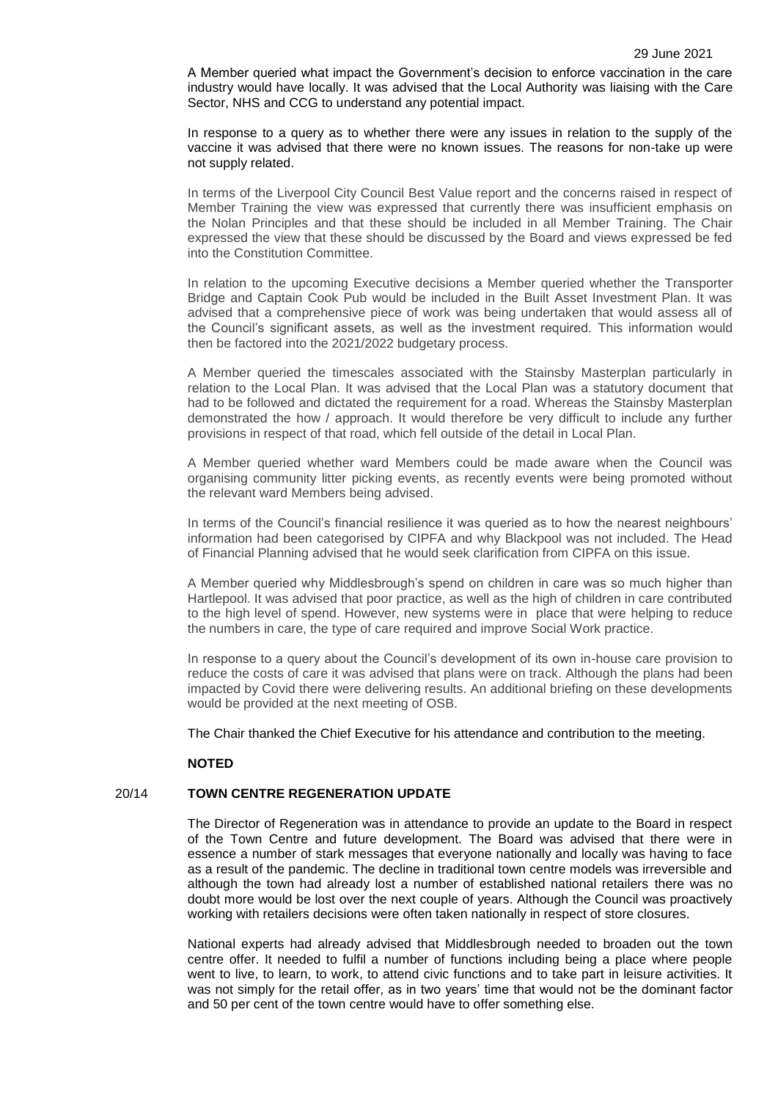A Member queried what impact the Government's decision to enforce vaccination in the care industry would have locally. It was advised that the Local Authority was liaising with the Care Sector, NHS and CCG to understand any potential impact.

In response to a query as to whether there were any issues in relation to the supply of the vaccine it was advised that there were no known issues. The reasons for non-take up were not supply related.

In terms of the Liverpool City Council Best Value report and the concerns raised in respect of Member Training the view was expressed that currently there was insufficient emphasis on the Nolan Principles and that these should be included in all Member Training. The Chair expressed the view that these should be discussed by the Board and views expressed be fed into the Constitution Committee.

In relation to the upcoming Executive decisions a Member queried whether the Transporter Bridge and Captain Cook Pub would be included in the Built Asset Investment Plan. It was advised that a comprehensive piece of work was being undertaken that would assess all of the Council's significant assets, as well as the investment required. This information would then be factored into the 2021/2022 budgetary process.

A Member queried the timescales associated with the Stainsby Masterplan particularly in relation to the Local Plan. It was advised that the Local Plan was a statutory document that had to be followed and dictated the requirement for a road. Whereas the Stainsby Masterplan demonstrated the how / approach. It would therefore be very difficult to include any further provisions in respect of that road, which fell outside of the detail in Local Plan.

A Member queried whether ward Members could be made aware when the Council was organising community litter picking events, as recently events were being promoted without the relevant ward Members being advised.

In terms of the Council's financial resilience it was queried as to how the nearest neighbours' information had been categorised by CIPFA and why Blackpool was not included. The Head of Financial Planning advised that he would seek clarification from CIPFA on this issue.

A Member queried why Middlesbrough's spend on children in care was so much higher than Hartlepool. It was advised that poor practice, as well as the high of children in care contributed to the high level of spend. However, new systems were in place that were helping to reduce the numbers in care, the type of care required and improve Social Work practice.

In response to a query about the Council's development of its own in-house care provision to reduce the costs of care it was advised that plans were on track. Although the plans had been impacted by Covid there were delivering results. An additional briefing on these developments would be provided at the next meeting of OSB.

The Chair thanked the Chief Executive for his attendance and contribution to the meeting.

## **NOTED**

# 20/14 **TOWN CENTRE REGENERATION UPDATE**

The Director of Regeneration was in attendance to provide an update to the Board in respect of the Town Centre and future development. The Board was advised that there were in essence a number of stark messages that everyone nationally and locally was having to face as a result of the pandemic. The decline in traditional town centre models was irreversible and although the town had already lost a number of established national retailers there was no doubt more would be lost over the next couple of years. Although the Council was proactively working with retailers decisions were often taken nationally in respect of store closures.

National experts had already advised that Middlesbrough needed to broaden out the town centre offer. It needed to fulfil a number of functions including being a place where people went to live, to learn, to work, to attend civic functions and to take part in leisure activities. It was not simply for the retail offer, as in two years' time that would not be the dominant factor and 50 per cent of the town centre would have to offer something else.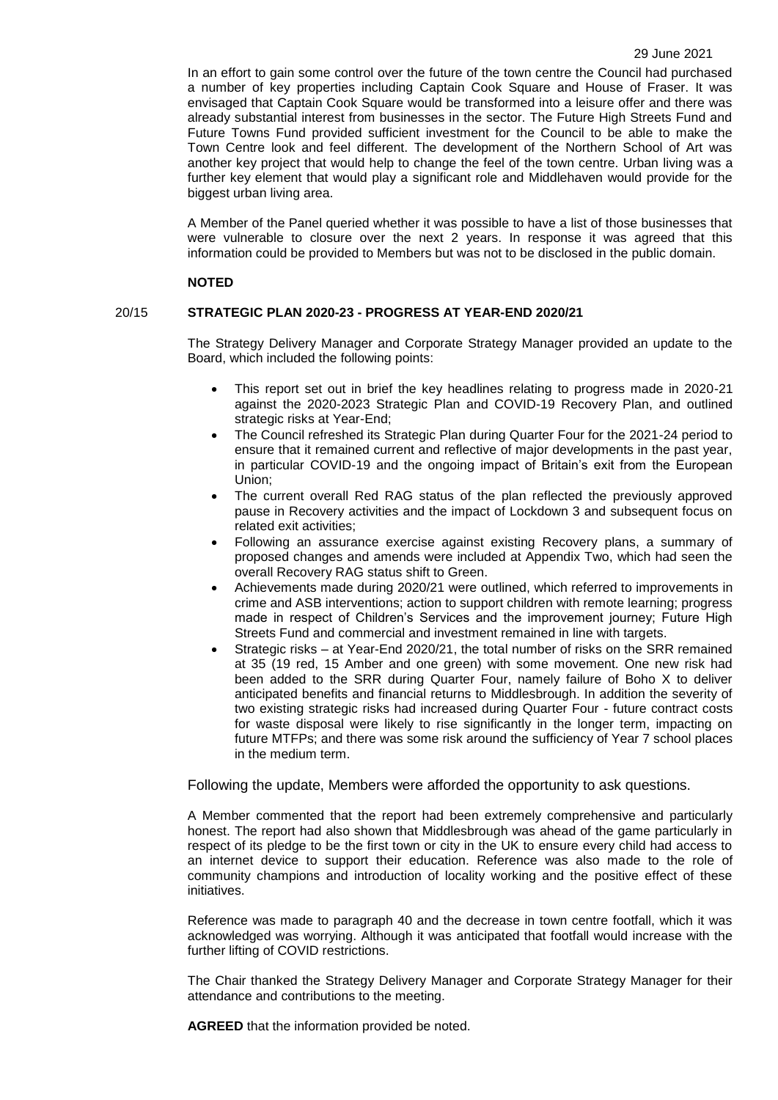In an effort to gain some control over the future of the town centre the Council had purchased a number of key properties including Captain Cook Square and House of Fraser. It was envisaged that Captain Cook Square would be transformed into a leisure offer and there was already substantial interest from businesses in the sector. The Future High Streets Fund and Future Towns Fund provided sufficient investment for the Council to be able to make the Town Centre look and feel different. The development of the Northern School of Art was another key project that would help to change the feel of the town centre. Urban living was a further key element that would play a significant role and Middlehaven would provide for the biggest urban living area.

A Member of the Panel queried whether it was possible to have a list of those businesses that were vulnerable to closure over the next 2 years. In response it was agreed that this information could be provided to Members but was not to be disclosed in the public domain.

## **NOTED**

## 20/15 **STRATEGIC PLAN 2020-23 - PROGRESS AT YEAR-END 2020/21**

The Strategy Delivery Manager and Corporate Strategy Manager provided an update to the Board, which included the following points:

- This report set out in brief the key headlines relating to progress made in 2020-21 against the 2020-2023 Strategic Plan and COVID-19 Recovery Plan, and outlined strategic risks at Year-End;
- The Council refreshed its Strategic Plan during Quarter Four for the 2021-24 period to ensure that it remained current and reflective of major developments in the past year, in particular COVID-19 and the ongoing impact of Britain's exit from the European Union;
- The current overall Red RAG status of the plan reflected the previously approved pause in Recovery activities and the impact of Lockdown 3 and subsequent focus on related exit activities;
- Following an assurance exercise against existing Recovery plans, a summary of proposed changes and amends were included at Appendix Two, which had seen the overall Recovery RAG status shift to Green.
- Achievements made during 2020/21 were outlined, which referred to improvements in crime and ASB interventions; action to support children with remote learning; progress made in respect of Children's Services and the improvement journey; Future High Streets Fund and commercial and investment remained in line with targets.
- Strategic risks at Year-End 2020/21, the total number of risks on the SRR remained at 35 (19 red, 15 Amber and one green) with some movement. One new risk had been added to the SRR during Quarter Four, namely failure of Boho X to deliver anticipated benefits and financial returns to Middlesbrough. In addition the severity of two existing strategic risks had increased during Quarter Four - future contract costs for waste disposal were likely to rise significantly in the longer term, impacting on future MTFPs; and there was some risk around the sufficiency of Year 7 school places in the medium term.

Following the update, Members were afforded the opportunity to ask questions.

A Member commented that the report had been extremely comprehensive and particularly honest. The report had also shown that Middlesbrough was ahead of the game particularly in respect of its pledge to be the first town or city in the UK to ensure every child had access to an internet device to support their education. Reference was also made to the role of community champions and introduction of locality working and the positive effect of these initiatives.

Reference was made to paragraph 40 and the decrease in town centre footfall, which it was acknowledged was worrying. Although it was anticipated that footfall would increase with the further lifting of COVID restrictions.

The Chair thanked the Strategy Delivery Manager and Corporate Strategy Manager for their attendance and contributions to the meeting.

**AGREED** that the information provided be noted.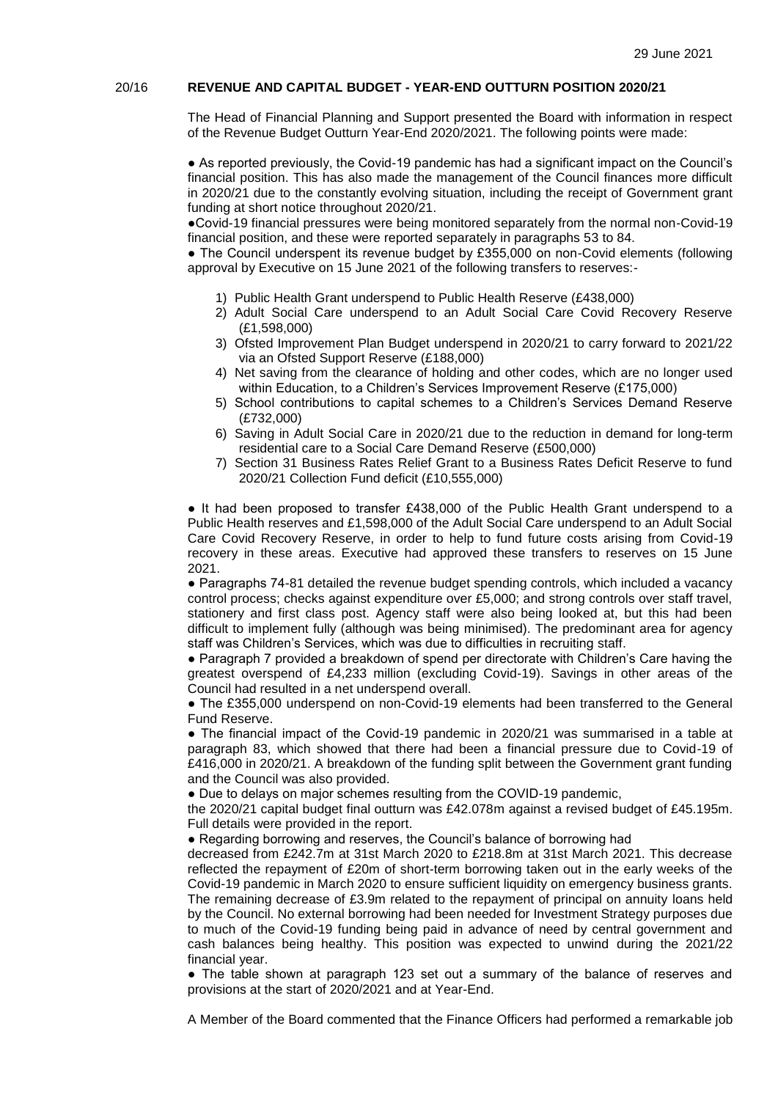#### 20/16 **REVENUE AND CAPITAL BUDGET - YEAR-END OUTTURN POSITION 2020/21**

The Head of Financial Planning and Support presented the Board with information in respect of the Revenue Budget Outturn Year-End 2020/2021. The following points were made:

● As reported previously, the Covid-19 pandemic has had a significant impact on the Council's financial position. This has also made the management of the Council finances more difficult in 2020/21 due to the constantly evolving situation, including the receipt of Government grant funding at short notice throughout 2020/21.

●Covid-19 financial pressures were being monitored separately from the normal non-Covid-19 financial position, and these were reported separately in paragraphs 53 to 84.

● The Council underspent its revenue budget by £355,000 on non-Covid elements (following approval by Executive on 15 June 2021 of the following transfers to reserves:-

- 1) Public Health Grant underspend to Public Health Reserve (£438,000)
- 2) Adult Social Care underspend to an Adult Social Care Covid Recovery Reserve (£1,598,000)
- 3) Ofsted Improvement Plan Budget underspend in 2020/21 to carry forward to 2021/22 via an Ofsted Support Reserve (£188,000)
- 4) Net saving from the clearance of holding and other codes, which are no longer used within Education, to a Children's Services Improvement Reserve (£175,000)
- 5) School contributions to capital schemes to a Children's Services Demand Reserve (£732,000)
- 6) Saving in Adult Social Care in 2020/21 due to the reduction in demand for long-term residential care to a Social Care Demand Reserve (£500,000)
- 7) Section 31 Business Rates Relief Grant to a Business Rates Deficit Reserve to fund 2020/21 Collection Fund deficit (£10,555,000)

• It had been proposed to transfer £438,000 of the Public Health Grant underspend to a Public Health reserves and £1,598,000 of the Adult Social Care underspend to an Adult Social Care Covid Recovery Reserve, in order to help to fund future costs arising from Covid-19 recovery in these areas. Executive had approved these transfers to reserves on 15 June 2021.

● Paragraphs 74-81 detailed the revenue budget spending controls, which included a vacancy control process; checks against expenditure over £5,000; and strong controls over staff travel, stationery and first class post. Agency staff were also being looked at, but this had been difficult to implement fully (although was being minimised). The predominant area for agency staff was Children's Services, which was due to difficulties in recruiting staff.

● Paragraph 7 provided a breakdown of spend per directorate with Children's Care having the greatest overspend of £4,233 million (excluding Covid-19). Savings in other areas of the Council had resulted in a net underspend overall.

● The £355,000 underspend on non-Covid-19 elements had been transferred to the General Fund Reserve.

● The financial impact of the Covid-19 pandemic in 2020/21 was summarised in a table at paragraph 83, which showed that there had been a financial pressure due to Covid-19 of £416,000 in 2020/21. A breakdown of the funding split between the Government grant funding and the Council was also provided.

• Due to delays on major schemes resulting from the COVID-19 pandemic,

the 2020/21 capital budget final outturn was £42.078m against a revised budget of £45.195m. Full details were provided in the report.

• Regarding borrowing and reserves, the Council's balance of borrowing had

decreased from £242.7m at 31st March 2020 to £218.8m at 31st March 2021. This decrease reflected the repayment of £20m of short-term borrowing taken out in the early weeks of the Covid-19 pandemic in March 2020 to ensure sufficient liquidity on emergency business grants. The remaining decrease of £3.9m related to the repayment of principal on annuity loans held by the Council. No external borrowing had been needed for Investment Strategy purposes due to much of the Covid-19 funding being paid in advance of need by central government and cash balances being healthy. This position was expected to unwind during the 2021/22 financial year.

• The table shown at paragraph 123 set out a summary of the balance of reserves and provisions at the start of 2020/2021 and at Year-End.

A Member of the Board commented that the Finance Officers had performed a remarkable job